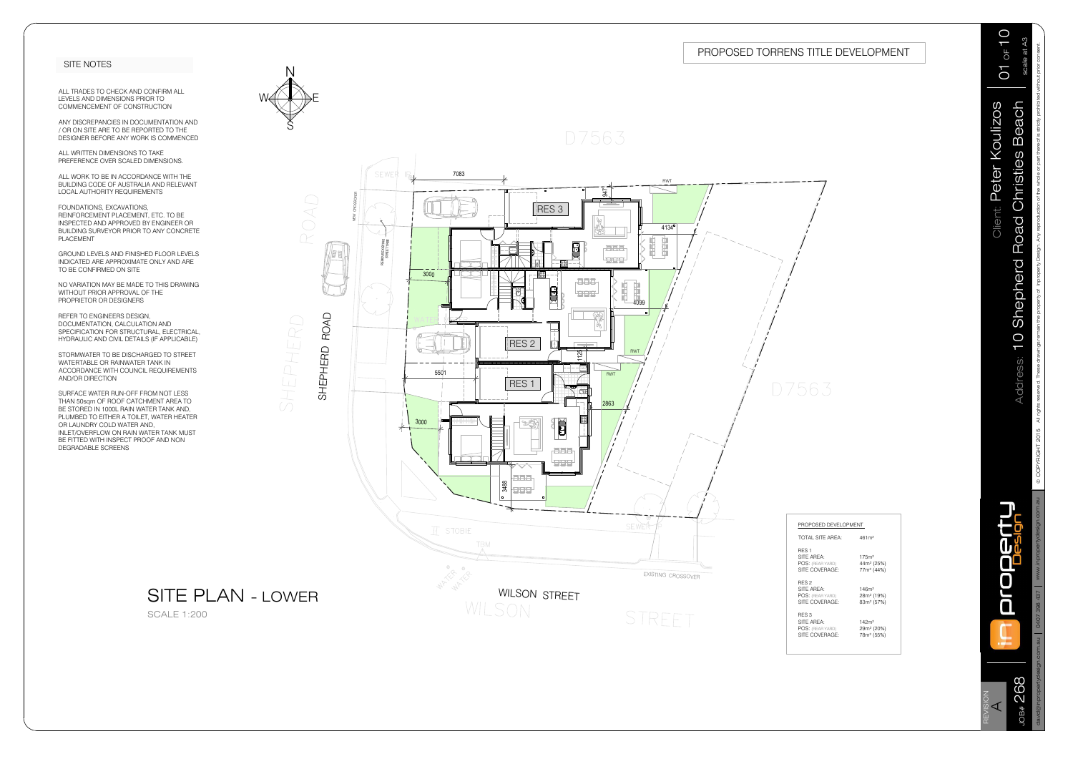

RES 3 RES 3<br>SITE AREA: Political and 142m<sup>2</sup> POS: (REAR YARD) Pò SITE AREA: 142m<sup>2</sup><br>POS: (REAR YARD) 29m<sup>2</sup> (20%)<br>SITE COVERAGE: 78m<sup>2</sup> (55%)

| PROPOSED DEVELOPMENT                                                        |                                                                       |
|-----------------------------------------------------------------------------|-----------------------------------------------------------------------|
| <b>TOTAL SITE AREA:</b>                                                     | 461m <sup>2</sup>                                                     |
| RFS <sub>1</sub><br>SITF ARFA:<br><b>POS: (REAR YARD)</b><br>SITE COVERAGE: | 175m <sup>2</sup><br>44m <sup>2</sup> (25%)<br>77m <sup>2</sup> (44%) |
| RFS <sub>2</sub><br>SITF ARFA:<br>POS: (REAR YARD)<br>SITE COVERAGE:        | 146 <sup>m²</sup><br>28m <sup>2</sup> (19%)<br>83m <sup>2</sup> (57%) |







|             | © COPYRIGHT 2015 All rights reserved. These drawings remain the property of Inproperty Design. Any reproduction of the whole or part thereof is strictly prohibited without prior consent. | $\mid$ 0407 398 437 $\mid$ www.inpropertydesign.com |  |
|-------------|--------------------------------------------------------------------------------------------------------------------------------------------------------------------------------------------|-----------------------------------------------------|--|
| scale at A3 | <b>10 Shepherd Road Christies Beach</b>                                                                                                                                                    |                                                     |  |
|             | <b>Dilent: Peter Koulizos</b>                                                                                                                                                              |                                                     |  |

## SITE PLAN - LOWER

SCALE 1:200

| <b>ITLE DEVELOPMENT</b> |
|-------------------------|
|                         |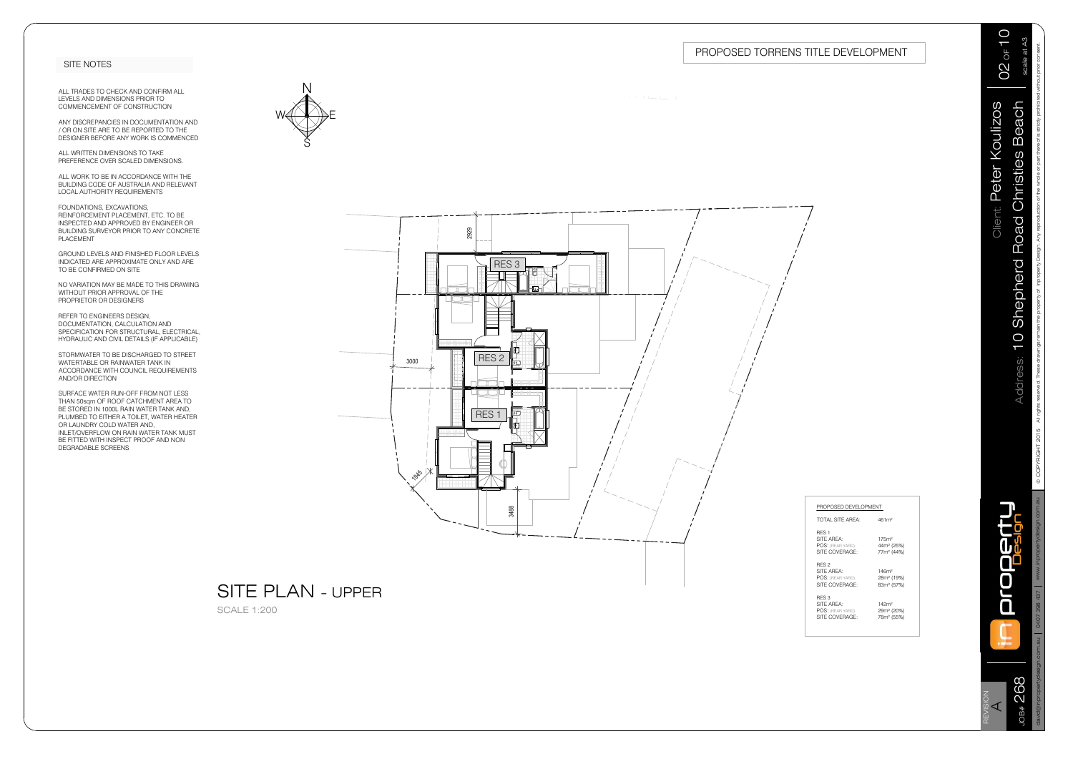SITE AREA: Pò NEO LAREA: 146m<sup>2</sup><br>POS: (REAR YARD) 28m<sup>2</sup> (19%)<br>SITE COVERAGE: 83m<sup>2</sup> (57%)<br>RES 3

SITE AREA: Pò POS: (REAR YARD) Pò SITE COVERAGE: Pò RES 2

RES 3<br>SITE AREA: 142m<sup>2</sup> POS: (REAR YARD) Pò SITE COVERAGE: Pò

&23<5,\*+7 All rights reserved. These drawings remain the property of Inproperty Design. Any reproduction of the whole or part thereof is strictly prohibited without prior consent.







# **PROPOSED DEVELOPMENT**

PROPOSED DEVELOPMENT<br>TOTAL SITE AREA: 461m<sup>2</sup> TOTAL SITE AREA:

| 1<br>scale at   | くくくく<br>)<br>)<br>)<br>Ì<br>しつく キクトウィー<br>$\frac{1}{2}$<br>C<br>ROBO<br>E Naphanan B<br>$\frac{1}{2}$<br>$\frac{1}{2}$<br>טש<br>ק<br>Ó<br>١<br>j<br>I<br>ĺ |
|-----------------|------------------------------------------------------------------------------------------------------------------------------------------------------------|
| $\mathbf \zeta$ | )<br>)<br>J                                                                                                                                                |
| l               | j                                                                                                                                                          |
| )<br>ن          | etel                                                                                                                                                       |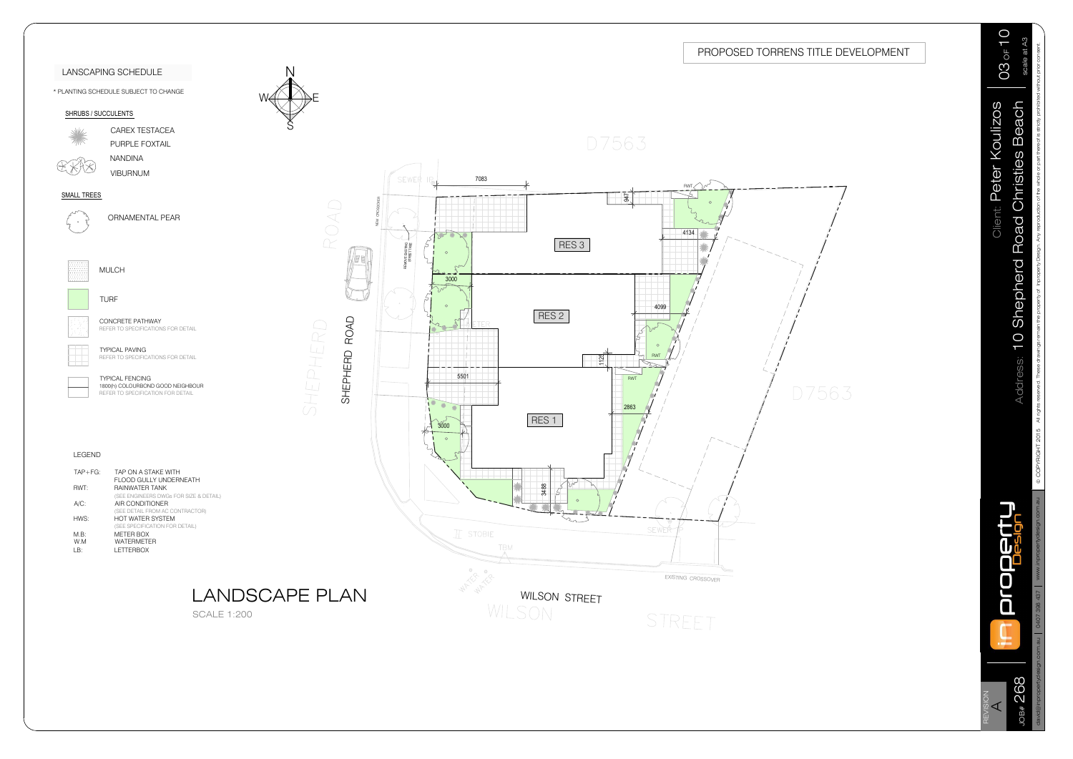

WILSON STREET

STREET

|               | © COPYRIGHT 2015 All rights reserved. These drawings remain the property of Inproperty Design. Any reproduction of the whole or part thereof is strictly prohibited without prior consent.<br>Client: Peter Koulizos<br>Address: 10 Shepherd Road Christies Beach |
|---------------|-------------------------------------------------------------------------------------------------------------------------------------------------------------------------------------------------------------------------------------------------------------------|
| I<br>D7563    |                                                                                                                                                                                                                                                                   |
| <b>SSOVER</b> | www.inpropertydesign.com.au<br>0407 398 437<br>david@inpropertydesign.com.au<br>JOB# 268<br>REVISION<br>$\prec$                                                                                                                                                   |







|                 | <b>LANSCAPING SCHEDULE</b>                                                                       |                                    |
|-----------------|--------------------------------------------------------------------------------------------------|------------------------------------|
|                 | * PLANTING SCHEDULE SUBJECT TO CHANGE                                                            |                                    |
|                 | SHRUBS / SUCCULENTS                                                                              |                                    |
|                 | CAREX TESTACEA<br>PURPLE FOXTAIL                                                                 |                                    |
|                 | NANDINA<br><b>VIBURNUM</b>                                                                       |                                    |
| SMALL TREES     |                                                                                                  |                                    |
|                 | <b>ORNAMENTAL PEAR</b>                                                                           |                                    |
|                 | <b>MULCH</b>                                                                                     |                                    |
|                 | TURF                                                                                             |                                    |
|                 | <b>CONCRETE PATHWAY</b><br>REFER TO SPECIFICATIONS FOR DETAIL                                    |                                    |
|                 | <b>TYPICAL PAVING</b><br>REFER TO SPECIFICATIONS FOR DETAIL                                      |                                    |
|                 | <b>TYPICAL FENCING</b><br>1800(h) COLOURBOND GOOD NEIGHBOUR<br>REFER TO SPECIFICATION FOR DETAIL |                                    |
|                 |                                                                                                  |                                    |
| LEGEND          |                                                                                                  |                                    |
| $TAP + FG$ :    | TAP ON A STAKE WITH<br>FLOOD GULLY UNDERNEATH                                                    |                                    |
| RWT:<br>$A/C$ : | RAINWATER TANK<br>(SEE ENGINEERS DWGs FOR SIZE & DETAIL)<br>AIR CONDITIONER                      |                                    |
| HWS:            | (SEE DETAIL FROM AC CONTRACTOR)<br>HOT WATER SYSTEM                                              |                                    |
| M.B:            | (SEE SPECIFICATION FOR DETAIL)<br><b>METER BOX</b>                                               |                                    |
| W.M<br>LB:      | WATERMETER<br><b>LETTERBOX</b>                                                                   |                                    |
|                 |                                                                                                  |                                    |
|                 |                                                                                                  | <b>LANDS</b><br><b>SCALE 1:200</b> |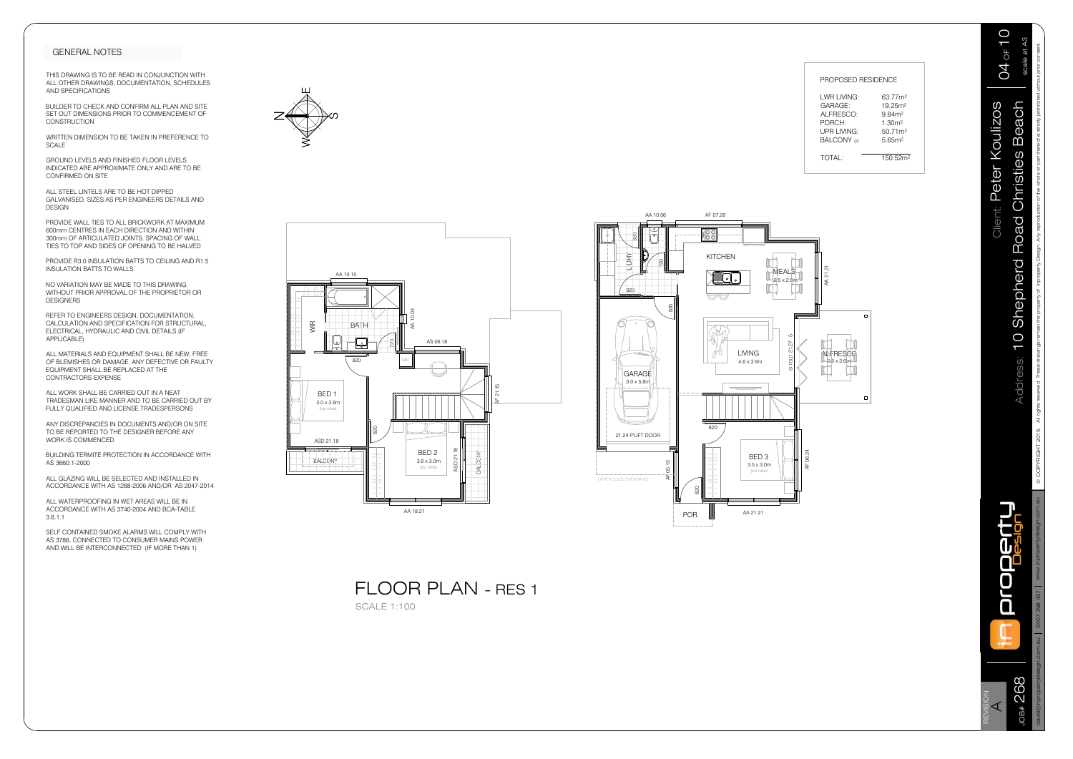





| ROPOSED RESIDENCE    |
|----------------------|
| 63.77m <sup>2</sup>  |
| 19 25m <sup>2</sup>  |
| 984m <sup>2</sup>    |
| 1.30 <sup>m2</sup>   |
| 50.71m <sup>2</sup>  |
| 5.65 <sup>m2</sup>   |
| 150.52m <sup>2</sup> |
|                      |

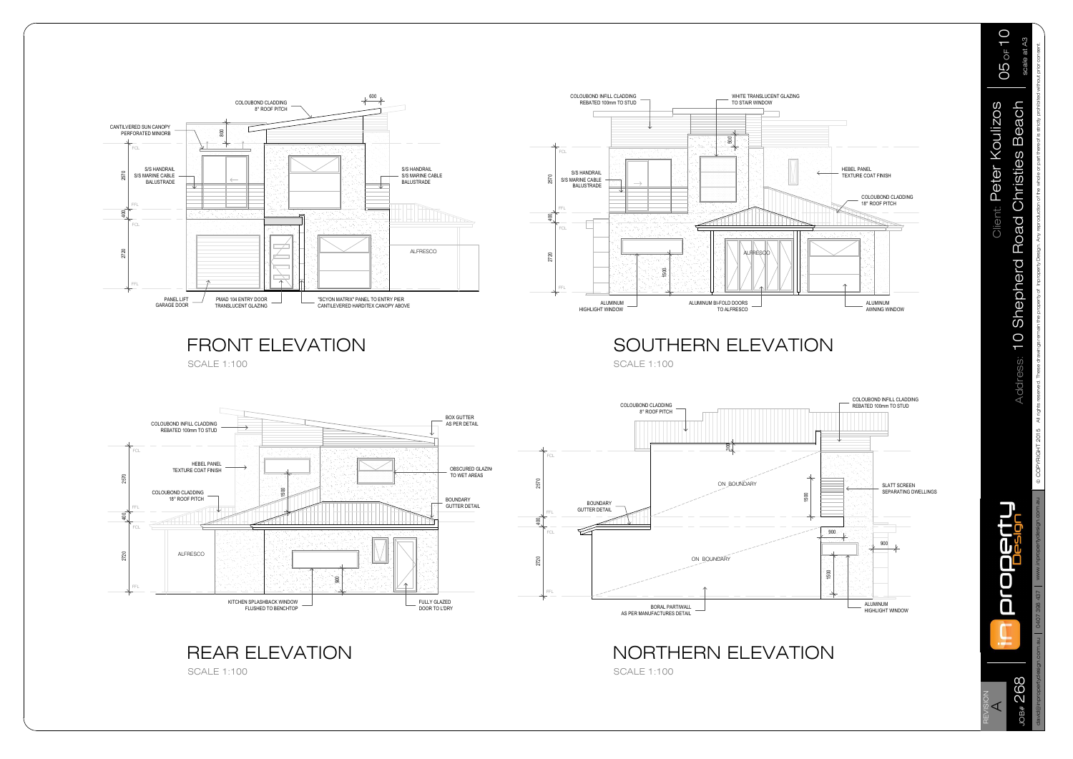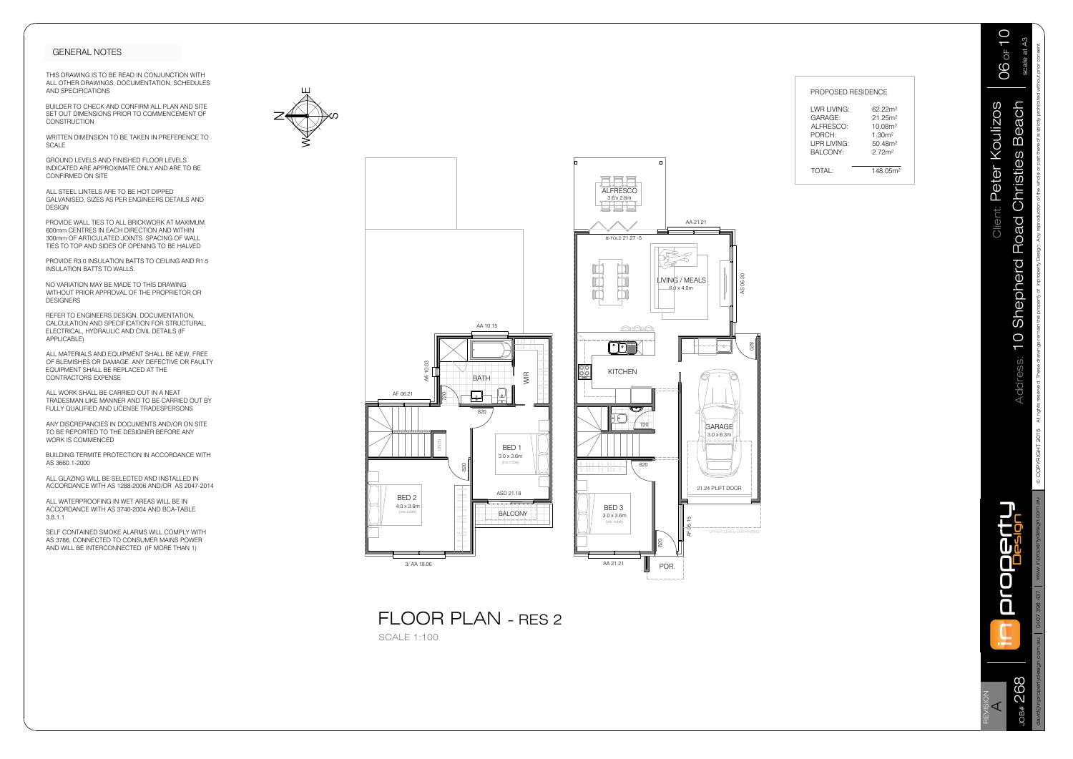





| PROPOSED RESIDENCE<br>Client: Peter Koulizos<br>Beach<br>LWR LIVING:<br>62.22m <sup>2</sup><br>21.25m <sup>2</sup><br>GARAGE:<br>ALFRESCO:<br>10.08m <sup>2</sup><br>PORCH:<br>1.30m <sup>2</sup><br><b>UPR LIVING:</b><br>50.48m <sup>2</sup><br>BALCONY:<br>Road Christies<br>2.72m <sup>2</sup><br>$\Box$<br>o.<br>148.05 <sup>m2</sup><br>TOTAL:<br>$\Xi$<br>ALFRESCO<br>$3.6 \times 2.8$ m<br>3. S. S.<br>AA 21.21<br>BI-FOLD 21.27 -5<br>10 Shepherd<br>i<br>Billi<br>前品<br>AS 06.30<br>LIVING / MEALS<br>$-6.0 \times 4.0m$<br>AA 10.15<br>000<br>$\frac{8}{20}$<br>rig<br>$_{\odot}$<br>Address:<br>$\mathbb{S}^2$<br>00<br>AA 10.<br>KITCHEN<br>WIR<br><b>BATH</b><br>20<br>لها<br>$\overline{\phantom{0}}$<br>$\overline{\mathbf{\mathbb{C}}^y}$<br>820<br>720<br><b>GARAGE</b><br>$3.0 \times 6.3m$<br>$\mathop{\text{Lip}}\limits_{\text{max}}$<br>BED <sub>1</sub><br>$3.0 \times 3.6$ m<br>(inc robe)<br>820<br>$\frac{8}{20}$<br>l W W W W<br>21.24 P'LIFT DOOR<br>ASD 21.18<br>$\mathbf{B}$ and $\mathbf{B}$<br>BED <sub>3</sub><br><b>BALCONY</b><br>$3.0 \times 3.6$ m<br>$\bar{5}$<br>(inc robe)<br>ທ<br>$\circ$<br>UPPER LEVEL OVERHANG<br>₹<br>820<br>AA 21.21<br>3/AA 18.06<br>POR.<br>U |                                                                  | $06$ or $10$<br>scale at A3 |
|----------------------------------------------------------------------------------------------------------------------------------------------------------------------------------------------------------------------------------------------------------------------------------------------------------------------------------------------------------------------------------------------------------------------------------------------------------------------------------------------------------------------------------------------------------------------------------------------------------------------------------------------------------------------------------------------------------------------------------------------------------------------------------------------------------------------------------------------------------------------------------------------------------------------------------------------------------------------------------------------------------------------------------------------------------------------------------------------------------------------------------------------------------------------------------------------------------------|------------------------------------------------------------------|-----------------------------|
|                                                                                                                                                                                                                                                                                                                                                                                                                                                                                                                                                                                                                                                                                                                                                                                                                                                                                                                                                                                                                                                                                                                                                                                                                |                                                                  |                             |
|                                                                                                                                                                                                                                                                                                                                                                                                                                                                                                                                                                                                                                                                                                                                                                                                                                                                                                                                                                                                                                                                                                                                                                                                                | AF 06.21<br>BED <sub>2</sub><br>$4.0 \times 3.6$ m<br>(inc robe) |                             |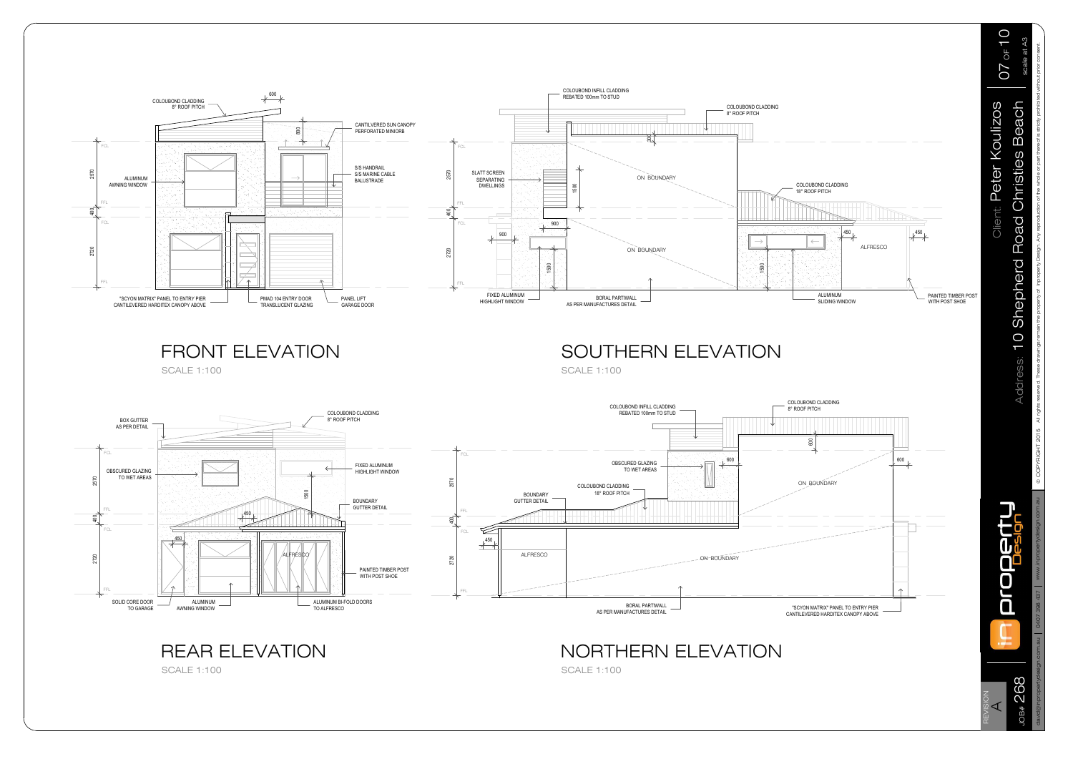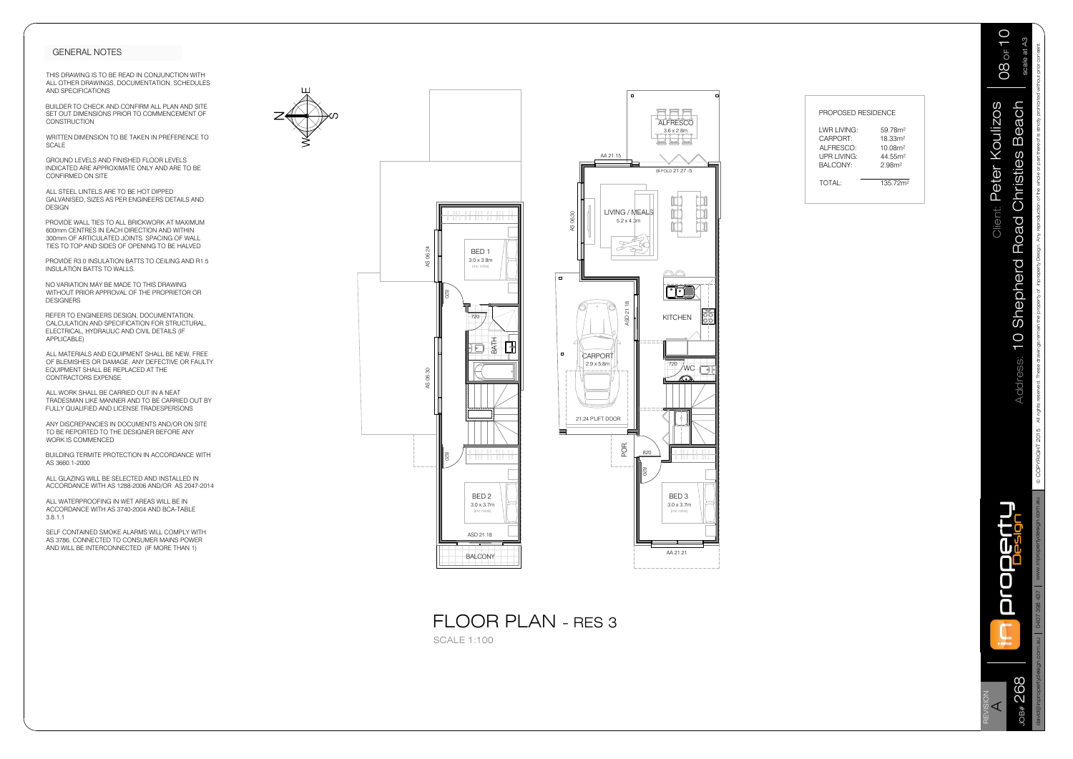

| PROPOSED RESIDENCE |
|--------------------|

| LWR LIVING:          | 59 78m <sup>2</sup> |
|----------------------|---------------------|
| CARPORT <sup>.</sup> | 18.33m <sup>2</sup> |
| ALFRESCO:            | 10.08m <sup>2</sup> |
| UPR LIVING           | 44 55m <sup>2</sup> |
| <b>BALCONY:</b>      | 2.98 <sup>m²</sup>  |
|                      |                     |
|                      |                     |

Address: 10 Shepherd Road Christies Beach  $\parallel$  scale at A3 &23<5,\*+7 All rights reserved. These drawings remain the property of Inproperty Design. Any reproduction of the whole or part thereof is strictly prohibited without prior consent.  $08$  of  $10$ eALCON<br>FLOOR PLAN - RES 3<br>SCALE 1:100<br>Experimental data of the Contract of the Contract of the Contract of the Contract of the Contract of the Contract of the Contract of the Contract of the Contract of the Contract of the scale at A3 REVISION A Client: Peter Koulizos

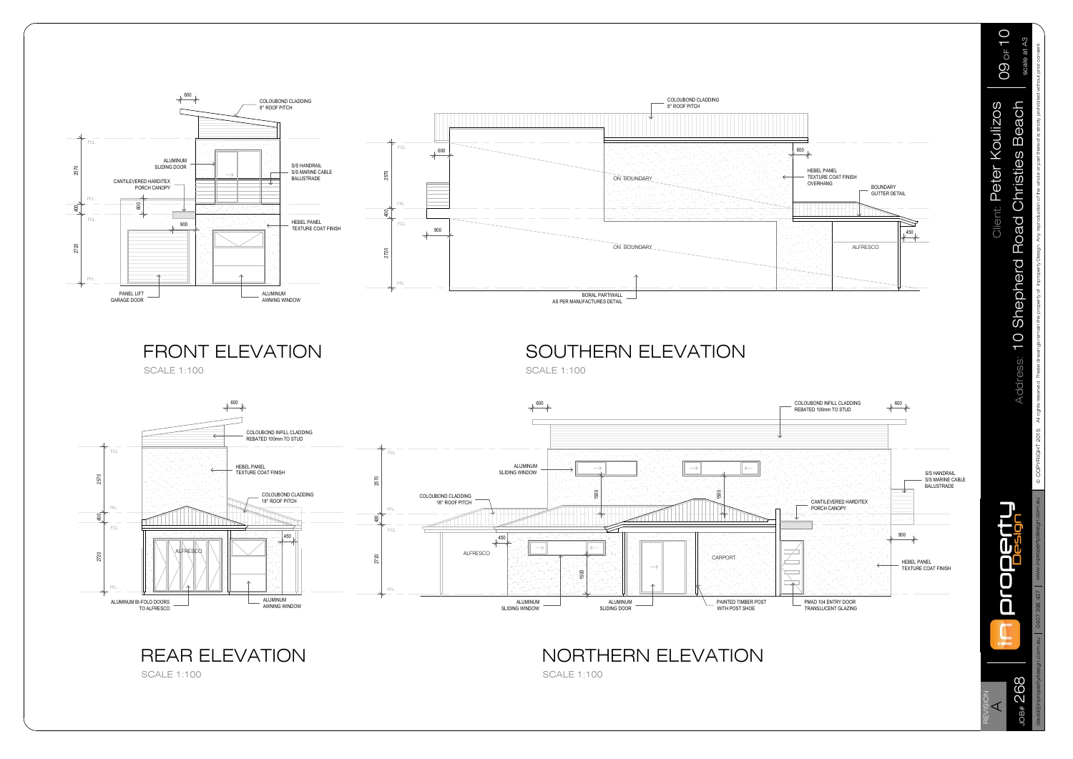